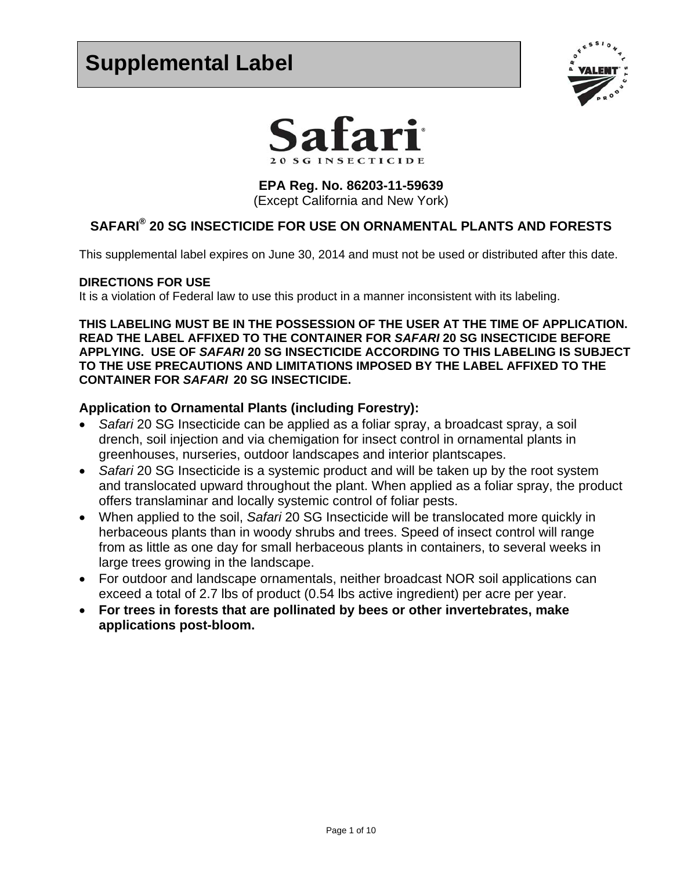# **Supplemental Label**





**EPA Reg. No. 86203-11-59639**  (Except California and New York)

# **SAFARI® 20 SG INSECTICIDE FOR USE ON ORNAMENTAL PLANTS AND FORESTS**

This supplemental label expires on June 30, 2014 and must not be used or distributed after this date.

#### **DIRECTIONS FOR USE**

It is a violation of Federal law to use this product in a manner inconsistent with its labeling.

**THIS LABELING MUST BE IN THE POSSESSION OF THE USER AT THE TIME OF APPLICATION. READ THE LABEL AFFIXED TO THE CONTAINER FOR** *SAFARI* **20 SG INSECTICIDE BEFORE APPLYING. USE OF** *SAFARI* **20 SG INSECTICIDE ACCORDING TO THIS LABELING IS SUBJECT TO THE USE PRECAUTIONS AND LIMITATIONS IMPOSED BY THE LABEL AFFIXED TO THE CONTAINER FOR** *SAFARI* **20 SG INSECTICIDE.** 

#### **Application to Ornamental Plants (including Forestry):**

- *Safari* 20 SG Insecticide can be applied as a foliar spray, a broadcast spray, a soil drench, soil injection and via chemigation for insect control in ornamental plants in greenhouses, nurseries, outdoor landscapes and interior plantscapes.
- *Safari* 20 SG Insecticide is a systemic product and will be taken up by the root system and translocated upward throughout the plant. When applied as a foliar spray, the product offers translaminar and locally systemic control of foliar pests.
- When applied to the soil, *Safari* 20 SG Insecticide will be translocated more quickly in herbaceous plants than in woody shrubs and trees. Speed of insect control will range from as little as one day for small herbaceous plants in containers, to several weeks in large trees growing in the landscape.
- For outdoor and landscape ornamentals, neither broadcast NOR soil applications can exceed a total of 2.7 lbs of product (0.54 lbs active ingredient) per acre per year.
- **For trees in forests that are pollinated by bees or other invertebrates, make applications post-bloom.**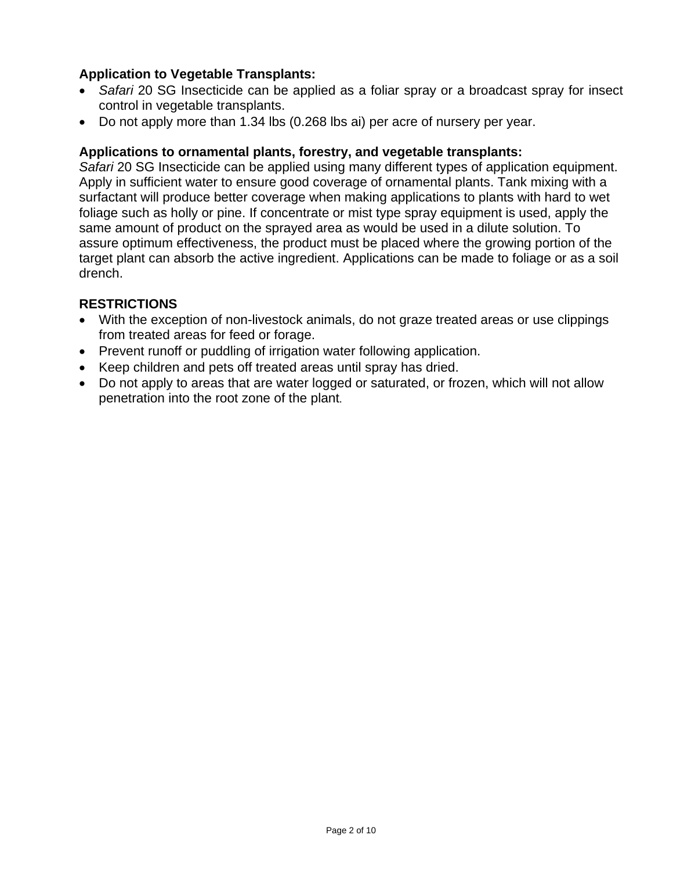## **Application to Vegetable Transplants:**

- *Safari* 20 SG Insecticide can be applied as a foliar spray or a broadcast spray for insect control in vegetable transplants.
- Do not apply more than 1.34 lbs (0.268 lbs ai) per acre of nursery per year.

### **Applications to ornamental plants, forestry, and vegetable transplants:**

*Safari* 20 SG Insecticide can be applied using many different types of application equipment. Apply in sufficient water to ensure good coverage of ornamental plants. Tank mixing with a surfactant will produce better coverage when making applications to plants with hard to wet foliage such as holly or pine. If concentrate or mist type spray equipment is used, apply the same amount of product on the sprayed area as would be used in a dilute solution. To assure optimum effectiveness, the product must be placed where the growing portion of the target plant can absorb the active ingredient. Applications can be made to foliage or as a soil drench.

## **RESTRICTIONS**

- With the exception of non-livestock animals, do not graze treated areas or use clippings from treated areas for feed or forage.
- Prevent runoff or puddling of irrigation water following application.
- Keep children and pets off treated areas until spray has dried.
- Do not apply to areas that are water logged or saturated, or frozen, which will not allow penetration into the root zone of the plant.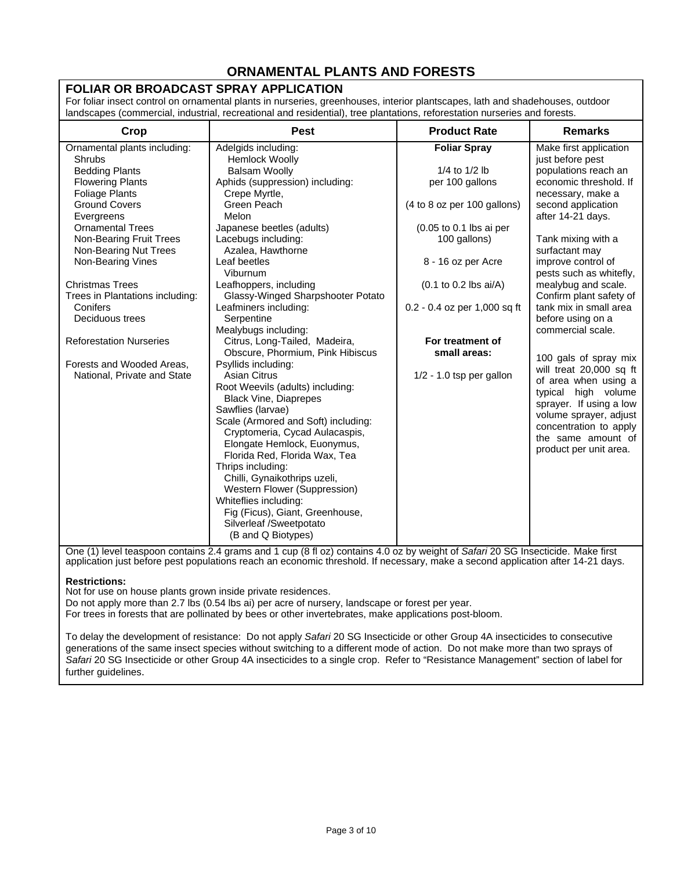## **ORNAMENTAL PLANTS AND FORESTS**

#### **FOLIAR OR BROADCAST SPRAY APPLICATION**

For foliar insect control on ornamental plants in nurseries, greenhouses, interior plantscapes, lath and shadehouses, outdoor landscapes (commercial, industrial, recreational and residential), tree plantations, reforestation nurseries and forests.

| Crop                            | <b>Pest</b>                         | <b>Product Rate</b>                              | <b>Remarks</b>          |
|---------------------------------|-------------------------------------|--------------------------------------------------|-------------------------|
| Ornamental plants including:    | Adelgids including:                 | <b>Foliar Spray</b>                              | Make first application  |
| Shrubs                          | <b>Hemlock Woolly</b>               |                                                  | just before pest        |
| <b>Bedding Plants</b>           | <b>Balsam Woolly</b>                | 1/4 to $1/2$ lb                                  | populations reach an    |
| <b>Flowering Plants</b>         | Aphids (suppression) including:     | per 100 gallons                                  | economic threshold. If  |
| <b>Foliage Plants</b>           | Crepe Myrtle,                       |                                                  | necessary, make a       |
| <b>Ground Covers</b>            | Green Peach                         | (4 to 8 oz per 100 gallons)                      | second application      |
| Evergreens                      | Melon                               |                                                  | after 14-21 days.       |
| <b>Ornamental Trees</b>         | Japanese beetles (adults)           | (0.05 to 0.1 lbs ai per                          |                         |
| Non-Bearing Fruit Trees         | Lacebugs including:                 | 100 gallons)                                     | Tank mixing with a      |
| Non-Bearing Nut Trees           | Azalea, Hawthorne                   |                                                  | surfactant may          |
| Non-Bearing Vines               | Leaf beetles                        | 8 - 16 oz per Acre                               | improve control of      |
|                                 | Viburnum                            |                                                  | pests such as whitefly, |
| <b>Christmas Trees</b>          | Leafhoppers, including              | $(0.1 \text{ to } 0.2 \text{ lbs } \text{ai/A})$ | mealybug and scale.     |
| Trees in Plantations including: | Glassy-Winged Sharpshooter Potato   |                                                  | Confirm plant safety of |
| Conifers                        | Leafminers including:               | 0.2 - 0.4 oz per 1,000 sq ft                     | tank mix in small area  |
| Deciduous trees                 | Serpentine                          |                                                  | before using on a       |
|                                 | Mealybugs including:                |                                                  | commercial scale.       |
| <b>Reforestation Nurseries</b>  | Citrus, Long-Tailed, Madeira,       | For treatment of                                 |                         |
|                                 | Obscure, Phormium, Pink Hibiscus    | small areas:                                     | 100 gals of spray mix   |
| Forests and Wooded Areas,       | Psyllids including:                 |                                                  | will treat 20,000 sq ft |
| National, Private and State     | Asian Citrus                        | $1/2 - 1.0$ tsp per gallon                       | of area when using a    |
|                                 | Root Weevils (adults) including:    |                                                  | high volume<br>typical  |
|                                 | <b>Black Vine, Diaprepes</b>        |                                                  | sprayer. If using a low |
|                                 | Sawflies (larvae)                   |                                                  | volume sprayer, adjust  |
|                                 | Scale (Armored and Soft) including: |                                                  | concentration to apply  |
|                                 | Cryptomeria, Cycad Aulacaspis,      |                                                  | the same amount of      |
|                                 | Elongate Hemlock, Euonymus,         |                                                  |                         |
|                                 | Florida Red, Florida Wax, Tea       |                                                  | product per unit area.  |
|                                 | Thrips including:                   |                                                  |                         |
|                                 | Chilli, Gynaikothrips uzeli,        |                                                  |                         |
|                                 | Western Flower (Suppression)        |                                                  |                         |
|                                 | Whiteflies including:               |                                                  |                         |
|                                 | Fig (Ficus), Giant, Greenhouse,     |                                                  |                         |
|                                 | Silverleaf /Sweetpotato             |                                                  |                         |
|                                 | (B and Q Biotypes)                  |                                                  |                         |

One (1) level teaspoon contains 2.4 grams and 1 cup (8 fl oz) contains 4.0 oz by weight of *Safari* 20 SG Insecticide. Make first application just before pest populations reach an economic threshold. If necessary, make a second application after 14-21 days.

#### **Restrictions:**

Not for use on house plants grown inside private residences.

Do not apply more than 2.7 lbs (0.54 lbs ai) per acre of nursery, landscape or forest per year.

For trees in forests that are pollinated by bees or other invertebrates, make applications post-bloom.

To delay the development of resistance: Do not apply *Safari* 20 SG Insecticide or other Group 4A insecticides to consecutive generations of the same insect species without switching to a different mode of action. Do not make more than two sprays of *Safari* 20 SG Insecticide or other Group 4A insecticides to a single crop. Refer to "Resistance Management" section of label for further guidelines.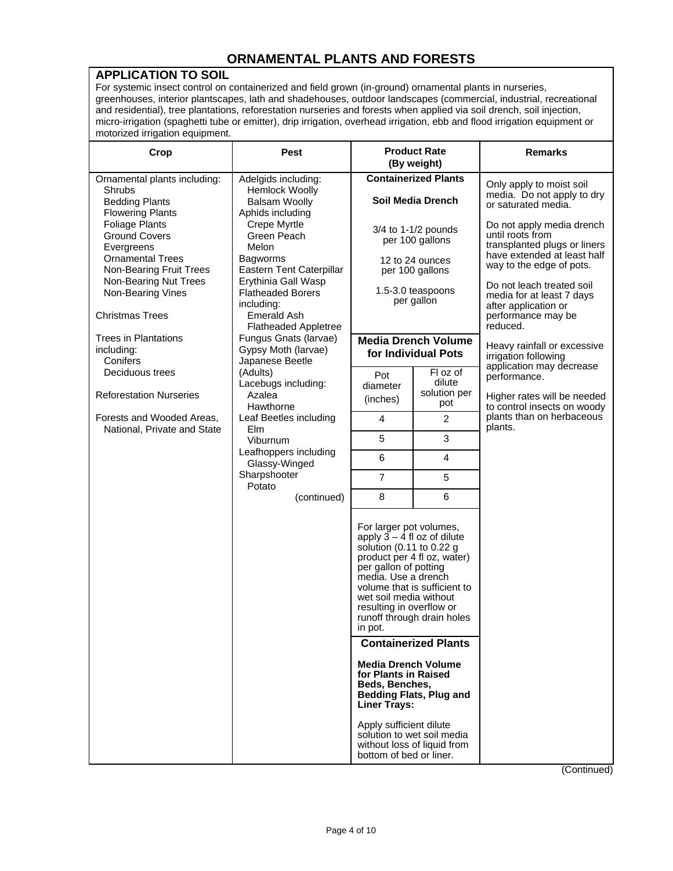## **ORNAMENTAL PLANTS AND FORESTS**

#### **APPLICATION TO SOIL**

For systemic insect control on containerized and field grown (in-ground) ornamental plants in nurseries, greenhouses, interior plantscapes, lath and shadehouses, outdoor landscapes (commercial, industrial, recreational and residential), tree plantations, reforestation nurseries and forests when applied via soil drench, soil injection, micro-irrigation (spaghetti tube or emitter), drip irrigation, overhead irrigation, ebb and flood irrigation equipment or motorized irrigation equipment.

| Crop                                                                                                              | <b>Pest</b>                                                                                                                                                                                                                                                                                                                             | <b>Product Rate</b><br>(By weight)                                                                                                                                                                      |                                                                                           | <b>Remarks</b>                                                                                                                           |
|-------------------------------------------------------------------------------------------------------------------|-----------------------------------------------------------------------------------------------------------------------------------------------------------------------------------------------------------------------------------------------------------------------------------------------------------------------------------------|---------------------------------------------------------------------------------------------------------------------------------------------------------------------------------------------------------|-------------------------------------------------------------------------------------------|------------------------------------------------------------------------------------------------------------------------------------------|
| Ornamental plants including:<br>Shrubs<br><b>Bedding Plants</b><br><b>Flowering Plants</b>                        | Adelgids including:<br>Hemlock Woolly<br><b>Balsam Woolly</b><br>Aphids including<br>Crepe Myrtle<br>Green Peach<br>Melon<br>Bagworms<br>Eastern Tent Caterpillar<br>Erythinia Gall Wasp<br><b>Flatheaded Borers</b><br>including:<br><b>Emerald Ash</b><br><b>Flatheaded Appletree</b><br>Fungus Gnats (larvae)<br>Gypsy Moth (larvae) | <b>Containerized Plants</b><br><b>Soil Media Drench</b><br>$3/4$ to 1-1/2 pounds<br>per 100 gallons<br>12 to 24 ounces<br>per 100 gallons<br>1.5-3.0 teaspoons<br>per gallon                            |                                                                                           | Only apply to moist soil<br>media. Do not apply to dry<br>or saturated media.                                                            |
| <b>Foliage Plants</b><br><b>Ground Covers</b><br>Evergreens<br><b>Ornamental Trees</b><br>Non-Bearing Fruit Trees |                                                                                                                                                                                                                                                                                                                                         |                                                                                                                                                                                                         |                                                                                           | Do not apply media drench<br>until roots from<br>transplanted plugs or liners<br>have extended at least half<br>way to the edge of pots. |
| Non-Bearing Nut Trees<br>Non-Bearing Vines<br><b>Christmas Trees</b>                                              |                                                                                                                                                                                                                                                                                                                                         |                                                                                                                                                                                                         |                                                                                           | Do not leach treated soil<br>media for at least 7 days<br>after application or<br>performance may be                                     |
| <b>Trees in Plantations</b><br>including:<br>Conifers                                                             |                                                                                                                                                                                                                                                                                                                                         | <b>Media Drench Volume</b><br>for Individual Pots                                                                                                                                                       |                                                                                           | reduced.<br>Heavy rainfall or excessive<br>irrigation following                                                                          |
| Deciduous trees<br><b>Reforestation Nurseries</b>                                                                 | Japanese Beetle<br>(Adults)<br>Lacebugs including:<br>Azalea                                                                                                                                                                                                                                                                            | Pot<br>diameter<br>(inches)                                                                                                                                                                             | FI oz of<br>dilute<br>solution per                                                        | application may decrease<br>performance.<br>Higher rates will be needed                                                                  |
| Forests and Wooded Areas,<br>National. Private and State                                                          | Hawthorne<br>Leaf Beetles including<br>Elm                                                                                                                                                                                                                                                                                              | 4                                                                                                                                                                                                       | pot<br>$\overline{2}$                                                                     | to control insects on woody<br>plants than on herbaceous<br>plants.                                                                      |
|                                                                                                                   | Viburnum                                                                                                                                                                                                                                                                                                                                | 5                                                                                                                                                                                                       | 3                                                                                         |                                                                                                                                          |
|                                                                                                                   | Leafhoppers including<br>Glassy-Winged                                                                                                                                                                                                                                                                                                  | 6                                                                                                                                                                                                       | 4                                                                                         |                                                                                                                                          |
|                                                                                                                   | Sharpshooter<br>Potato                                                                                                                                                                                                                                                                                                                  | $\overline{7}$                                                                                                                                                                                          | 5                                                                                         |                                                                                                                                          |
|                                                                                                                   | (continued)                                                                                                                                                                                                                                                                                                                             | 8                                                                                                                                                                                                       | 6                                                                                         |                                                                                                                                          |
|                                                                                                                   |                                                                                                                                                                                                                                                                                                                                         | For larger pot volumes,<br>apply $3 - 4$ fl oz of dilute<br>solution (0.11 to $0.22$ g<br>per gallon of potting<br>media. Use a drench<br>wet soil media without<br>resulting in overflow or<br>in pot. | product per 4 fl oz, water)<br>volume that is sufficient to<br>runoff through drain holes |                                                                                                                                          |
|                                                                                                                   |                                                                                                                                                                                                                                                                                                                                         |                                                                                                                                                                                                         | <b>Containerized Plants</b>                                                               |                                                                                                                                          |
|                                                                                                                   |                                                                                                                                                                                                                                                                                                                                         | <b>Media Drench Volume</b><br>for Plants in Raised<br>Beds, Benches,<br><b>Bedding Flats, Plug and</b><br><b>Liner Trays:</b>                                                                           |                                                                                           |                                                                                                                                          |
|                                                                                                                   |                                                                                                                                                                                                                                                                                                                                         | Apply sufficient dilute<br>bottom of bed or liner.                                                                                                                                                      | solution to wet soil media<br>without loss of liquid from                                 |                                                                                                                                          |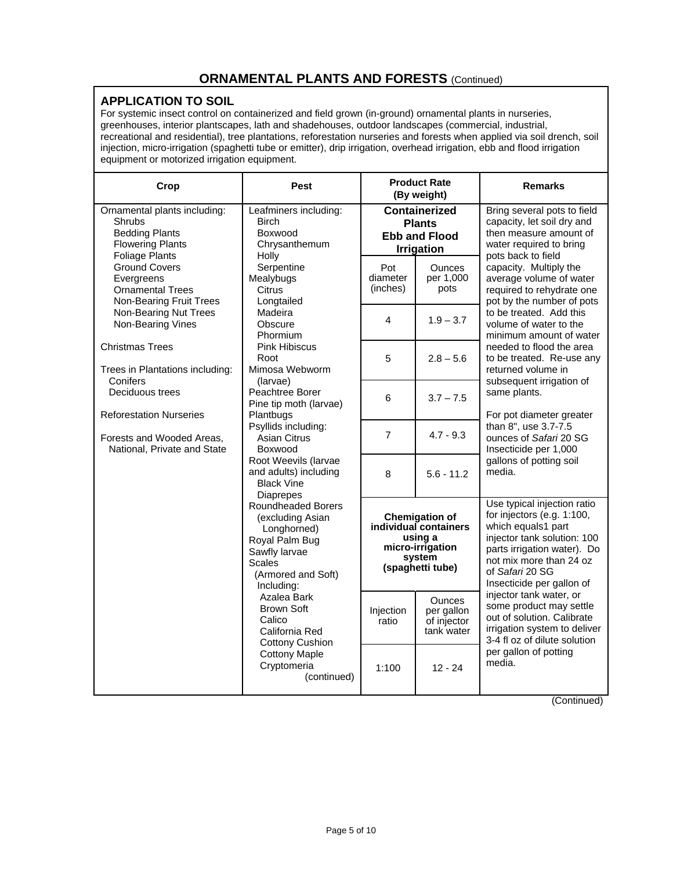#### **APPLICATION TO SOIL**

For systemic insect control on containerized and field grown (in-ground) ornamental plants in nurseries, greenhouses, interior plantscapes, lath and shadehouses, outdoor landscapes (commercial, industrial, recreational and residential), tree plantations, reforestation nurseries and forests when applied via soil drench, soil injection, micro-irrigation (spaghetti tube or emitter), drip irrigation, overhead irrigation, ebb and flood irrigation equipment or motorized irrigation equipment.

| Crop                                                                                                         | Pest                                                                                                                                                                                                                                                                                                                                                                                                                                                                                                                   | <b>Product Rate</b><br>(By weight)                                                 |                                                                                                             | <b>Remarks</b>                                                                                                                                                                                                           |
|--------------------------------------------------------------------------------------------------------------|------------------------------------------------------------------------------------------------------------------------------------------------------------------------------------------------------------------------------------------------------------------------------------------------------------------------------------------------------------------------------------------------------------------------------------------------------------------------------------------------------------------------|------------------------------------------------------------------------------------|-------------------------------------------------------------------------------------------------------------|--------------------------------------------------------------------------------------------------------------------------------------------------------------------------------------------------------------------------|
| Ornamental plants including:<br>Shrubs<br><b>Bedding Plants</b><br><b>Flowering Plants</b><br>Foliage Plants | Leafminers including:<br><b>Birch</b><br>Boxwood<br>Chrysanthemum<br>Holly                                                                                                                                                                                                                                                                                                                                                                                                                                             | <b>Containerized</b><br><b>Plants</b><br><b>Ebb and Flood</b><br><b>Irrigation</b> |                                                                                                             | Bring several pots to field<br>capacity, let soil dry and<br>then measure amount of<br>water required to bring<br>pots back to field                                                                                     |
| <b>Ground Covers</b><br>Evergreens<br><b>Ornamental Trees</b><br>Non-Bearing Fruit Trees                     | Serpentine<br>Mealybugs<br>Citrus<br>Longtailed                                                                                                                                                                                                                                                                                                                                                                                                                                                                        | Pot<br>diameter<br>(inches)                                                        | <b>Ounces</b><br>per 1,000<br>pots                                                                          | capacity. Multiply the<br>average volume of water<br>required to rehydrate one<br>pot by the number of pots                                                                                                              |
| Non-Bearing Nut Trees<br>Non-Bearing Vines                                                                   | Madeira<br>Obscure<br><b>Phormium</b>                                                                                                                                                                                                                                                                                                                                                                                                                                                                                  | 4                                                                                  | $1.9 - 3.7$                                                                                                 | to be treated. Add this<br>volume of water to the<br>minimum amount of water                                                                                                                                             |
| <b>Christmas Trees</b><br>Trees in Plantations including:                                                    | <b>Pink Hibiscus</b><br>Root<br>Mimosa Webworm                                                                                                                                                                                                                                                                                                                                                                                                                                                                         | 5                                                                                  | $2.8 - 5.6$                                                                                                 | needed to flood the area<br>to be treated. Re-use any<br>returned volume in                                                                                                                                              |
| Conifers<br>Deciduous trees<br><b>Reforestation Nurseries</b>                                                | (larvae)<br>Peachtree Borer<br>Pine tip moth (larvae)<br>Plantbugs<br>Psyllids including:<br><b>Asian Citrus</b><br>Boxwood<br>Root Weevils (larvae<br>and adults) including<br><b>Black Vine</b><br><b>Diaprepes</b><br>Roundheaded Borers<br>(excluding Asian<br>Longhorned)<br>Royal Palm Bug<br>Sawfly larvae<br><b>Scales</b><br>(Armored and Soft)<br>Including:<br>Azalea Bark<br><b>Brown Soft</b><br>Calico<br>California Red<br><b>Cottony Cushion</b><br><b>Cottony Maple</b><br>Cryptomeria<br>(continued) | 6                                                                                  | $3.7 - 7.5$                                                                                                 | subsequent irrigation of<br>same plants.<br>For pot diameter greater<br>than 8", use 3.7-7.5<br>ounces of Safari 20 SG<br>Insecticide per 1,000                                                                          |
| Forests and Wooded Areas,<br>National, Private and State                                                     |                                                                                                                                                                                                                                                                                                                                                                                                                                                                                                                        | $\overline{7}$                                                                     | $4.7 - 9.3$                                                                                                 |                                                                                                                                                                                                                          |
|                                                                                                              |                                                                                                                                                                                                                                                                                                                                                                                                                                                                                                                        | 8                                                                                  | $5.6 - 11.2$                                                                                                | gallons of potting soil<br>media.                                                                                                                                                                                        |
|                                                                                                              |                                                                                                                                                                                                                                                                                                                                                                                                                                                                                                                        |                                                                                    | <b>Chemigation of</b><br>individual containers<br>using a<br>micro-irrigation<br>system<br>(spaghetti tube) | Use typical injection ratio<br>for injectors (e.g. 1:100,<br>which equals1 part<br>injector tank solution: 100<br>parts irrigation water). Do<br>not mix more than 24 oz<br>of Safari 20 SG<br>Insecticide per gallon of |
|                                                                                                              |                                                                                                                                                                                                                                                                                                                                                                                                                                                                                                                        | Injection<br>ratio                                                                 | <b>Ounces</b><br>per gallon<br>of injector<br>tank water                                                    | injector tank water, or<br>some product may settle<br>out of solution. Calibrate<br>irrigation system to deliver<br>3-4 fl oz of dilute solution<br>per gallon of potting<br>media.                                      |
|                                                                                                              |                                                                                                                                                                                                                                                                                                                                                                                                                                                                                                                        | 1:100                                                                              | $12 - 24$                                                                                                   |                                                                                                                                                                                                                          |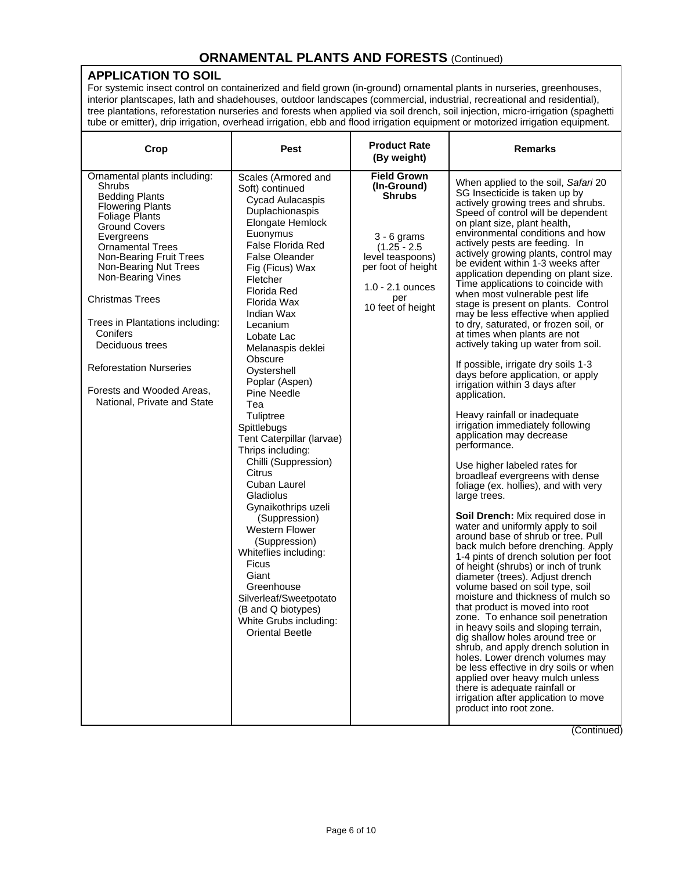#### **APPLICATION TO SOIL**

For systemic insect control on containerized and field grown (in-ground) ornamental plants in nurseries, greenhouses, interior plantscapes, lath and shadehouses, outdoor landscapes (commercial, industrial, recreational and residential), tree plantations, reforestation nurseries and forests when applied via soil drench, soil injection, micro-irrigation (spaghetti tube or emitter), drip irrigation, overhead irrigation, ebb and flood irrigation equipment or motorized irrigation equipment.

| Crop                                                                                                                                                                                                                                                                                                                                                                                                                                                    | <b>Pest</b>                                                                                                                                                                                                                                                                                                                                                                                                                                                                                                                                                                                                                                                                                                                                                       | <b>Product Rate</b><br>(By weight)                                                                                                                                                | <b>Remarks</b>                                                                                                                                                                                                                                                                                                                                                                                                                                                                                                                                                                                                                                                                                                                                                                                                                                                                                                                                                                                                                                                                                                                                                                                                                                                                                                                                                                                                                                                                                                                                                                                                                                                                                                                                                                            |
|---------------------------------------------------------------------------------------------------------------------------------------------------------------------------------------------------------------------------------------------------------------------------------------------------------------------------------------------------------------------------------------------------------------------------------------------------------|-------------------------------------------------------------------------------------------------------------------------------------------------------------------------------------------------------------------------------------------------------------------------------------------------------------------------------------------------------------------------------------------------------------------------------------------------------------------------------------------------------------------------------------------------------------------------------------------------------------------------------------------------------------------------------------------------------------------------------------------------------------------|-----------------------------------------------------------------------------------------------------------------------------------------------------------------------------------|-------------------------------------------------------------------------------------------------------------------------------------------------------------------------------------------------------------------------------------------------------------------------------------------------------------------------------------------------------------------------------------------------------------------------------------------------------------------------------------------------------------------------------------------------------------------------------------------------------------------------------------------------------------------------------------------------------------------------------------------------------------------------------------------------------------------------------------------------------------------------------------------------------------------------------------------------------------------------------------------------------------------------------------------------------------------------------------------------------------------------------------------------------------------------------------------------------------------------------------------------------------------------------------------------------------------------------------------------------------------------------------------------------------------------------------------------------------------------------------------------------------------------------------------------------------------------------------------------------------------------------------------------------------------------------------------------------------------------------------------------------------------------------------------|
| Ornamental plants including:<br>Shrubs<br><b>Bedding Plants</b><br><b>Flowering Plants</b><br><b>Foliage Plants</b><br><b>Ground Covers</b><br>Evergreens<br><b>Ornamental Trees</b><br>Non-Bearing Fruit Trees<br>Non-Bearing Nut Trees<br>Non-Bearing Vines<br><b>Christmas Trees</b><br>Trees in Plantations including:<br>Conifers<br>Deciduous trees<br><b>Reforestation Nurseries</b><br>Forests and Wooded Areas,<br>National, Private and State | Scales (Armored and<br>Soft) continued<br>Cycad Aulacaspis<br>Duplachionaspis<br>Elongate Hemlock<br>Euonymus<br>False Florida Red<br>False Oleander<br>Fig (Ficus) Wax<br>Fletcher<br><b>Florida Red</b><br>Florida Wax<br>Indian Wax<br>Lecanium<br>Lobate Lac<br>Melanaspis deklei<br>Obscure<br>Oystershell<br>Poplar (Aspen)<br>Pine Needle<br>Tea<br>Tuliptree<br>Spittlebugs<br>Tent Caterpillar (larvae)<br>Thrips including:<br>Chilli (Suppression)<br><b>Citrus</b><br>Cuban Laurel<br>Gladiolus<br>Gynaikothrips uzeli<br>(Suppression)<br><b>Western Flower</b><br>(Suppression)<br>Whiteflies including:<br><b>Ficus</b><br>Giant<br>Greenhouse<br>Silverleaf/Sweetpotato<br>(B and Q biotypes)<br>White Grubs including:<br><b>Oriental Beetle</b> | <b>Field Grown</b><br>(In-Ground)<br><b>Shrubs</b><br>$3 - 6$ grams<br>$(1.25 - 2.5)$<br>level teaspoons)<br>per foot of height<br>$1.0 - 2.1$ ounces<br>per<br>10 feet of height | When applied to the soil, Safari 20<br>SG Insecticide is taken up by<br>actively growing trees and shrubs.<br>Speed of control will be dependent<br>on plant size, plant health,<br>environmental conditions and how<br>actively pests are feeding. In<br>actively growing plants, control may<br>be evident within 1-3 weeks after<br>application depending on plant size.<br>Time applications to coincide with<br>when most vulnerable pest life<br>stage is present on plants. Control<br>may be less effective when applied<br>to dry, saturated, or frozen soil, or<br>at times when plants are not<br>actively taking up water from soil.<br>If possible, irrigate dry soils 1-3<br>days before application, or apply<br>irrigation within 3 days after<br>application.<br>Heavy rainfall or inadequate<br>irrigation immediately following<br>application may decrease<br>performance.<br>Use higher labeled rates for<br>broadleaf evergreens with dense<br>foliage (ex. hollies), and with very<br>large trees.<br>Soil Drench: Mix required dose in<br>water and uniformly apply to soil<br>around base of shrub or tree. Pull<br>back mulch before drenching. Apply<br>1-4 pints of drench solution per foot<br>of height (shrubs) or inch of trunk<br>diameter (trees). Adjust drench<br>volume based on soil type, soil<br>moisture and thickness of mulch so<br>that product is moved into root<br>zone. To enhance soil penetration<br>in heavy soils and sloping terrain,<br>dig shallow holes around tree or<br>shrub, and apply drench solution in<br>holes. Lower drench volumes may<br>be less effective in dry soils or when<br>applied over heavy mulch unless<br>there is adequate rainfall or<br>irrigation after application to move<br>product into root zone. |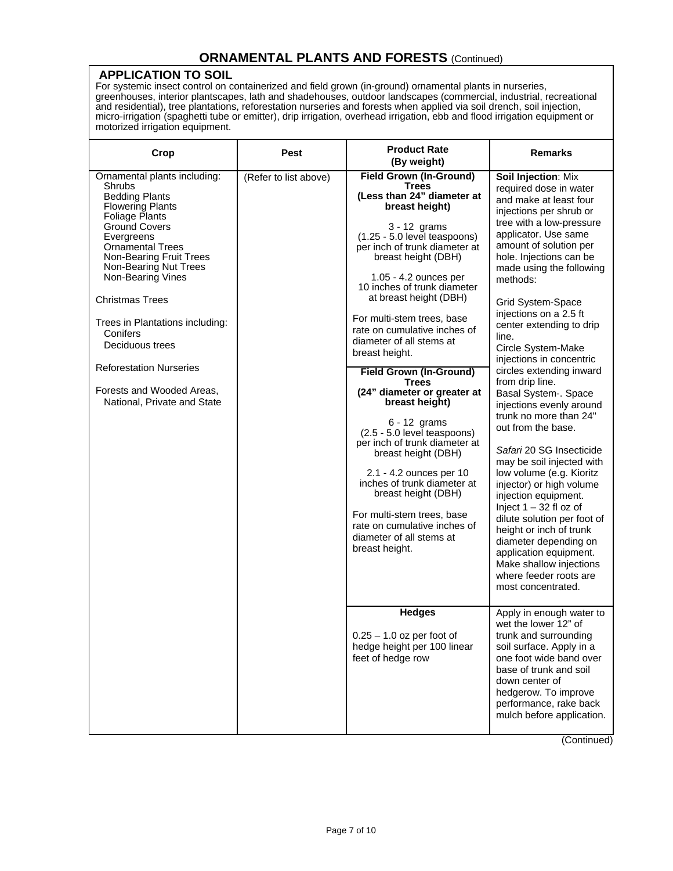#### **APPLICATION TO SOIL**

For systemic insect control on containerized and field grown (in-ground) ornamental plants in nurseries, greenhouses, interior plantscapes, lath and shadehouses, outdoor landscapes (commercial, industrial, recreational and residential), tree plantations, reforestation nurseries and forests when applied via soil drench, soil injection, micro-irrigation (spaghetti tube or emitter), drip irrigation, overhead irrigation, ebb and flood irrigation equipment or motorized irrigation equipment.

| Crop                                                                                                                                                                                                                                                                                                                                                                                                                                                    | Pest                  | <b>Product Rate</b><br>(By weight)                                                                                                                                                                                                                                                                                                                                                                                                                                                                                                                                                                                                                                                                                                                                                                            | <b>Remarks</b>                                                                                                                                                                                                                                                                                                                                                                                                                                                                                                                                                                                                                                                                                                                                                                                                                                                                                            |
|---------------------------------------------------------------------------------------------------------------------------------------------------------------------------------------------------------------------------------------------------------------------------------------------------------------------------------------------------------------------------------------------------------------------------------------------------------|-----------------------|---------------------------------------------------------------------------------------------------------------------------------------------------------------------------------------------------------------------------------------------------------------------------------------------------------------------------------------------------------------------------------------------------------------------------------------------------------------------------------------------------------------------------------------------------------------------------------------------------------------------------------------------------------------------------------------------------------------------------------------------------------------------------------------------------------------|-----------------------------------------------------------------------------------------------------------------------------------------------------------------------------------------------------------------------------------------------------------------------------------------------------------------------------------------------------------------------------------------------------------------------------------------------------------------------------------------------------------------------------------------------------------------------------------------------------------------------------------------------------------------------------------------------------------------------------------------------------------------------------------------------------------------------------------------------------------------------------------------------------------|
| Ornamental plants including:<br>Shrubs<br><b>Bedding Plants</b><br><b>Flowering Plants</b><br><b>Foliage Plants</b><br><b>Ground Covers</b><br>Evergreens<br><b>Ornamental Trees</b><br>Non-Bearing Fruit Trees<br>Non-Bearing Nut Trees<br>Non-Bearing Vines<br><b>Christmas Trees</b><br>Trees in Plantations including:<br>Conifers<br>Deciduous trees<br><b>Reforestation Nurseries</b><br>Forests and Wooded Areas,<br>National, Private and State | (Refer to list above) | <b>Field Grown (In-Ground)</b><br><b>Trees</b><br>(Less than 24" diameter at<br>breast height)<br>$3 - 12$ grams<br>(1.25 - 5.0 level teaspoons)<br>per inch of trunk diameter at<br>breast height (DBH)<br>1.05 - 4.2 ounces per<br>10 inches of trunk diameter<br>at breast height (DBH)<br>For multi-stem trees, base<br>rate on cumulative inches of<br>diameter of all stems at<br>breast height.<br><b>Field Grown (In-Ground)</b><br><b>Trees</b><br>(24" diameter or greater at<br>breast height)<br>6 - 12 grams<br>(2.5 - 5.0 level teaspoons)<br>per inch of trunk diameter at<br>breast height (DBH)<br>2.1 - 4.2 ounces per 10<br>inches of trunk diameter at<br>breast height (DBH)<br>For multi-stem trees, base<br>rate on cumulative inches of<br>diameter of all stems at<br>breast height. | Soil Injection: Mix<br>required dose in water<br>and make at least four<br>injections per shrub or<br>tree with a low-pressure<br>applicator. Use same<br>amount of solution per<br>hole. Injections can be<br>made using the following<br>methods:<br>Grid System-Space<br>injections on a 2.5 ft<br>center extending to drip<br>line.<br>Circle System-Make<br>injections in concentric<br>circles extending inward<br>from drip line.<br>Basal System-. Space<br>injections evenly around<br>trunk no more than 24"<br>out from the base.<br>Safari 20 SG Insecticide<br>may be soil injected with<br>low volume (e.g. Kioritz<br>injector) or high volume<br>injection equipment.<br>Inject $1 - 32$ fl oz of<br>dilute solution per foot of<br>height or inch of trunk<br>diameter depending on<br>application equipment.<br>Make shallow injections<br>where feeder roots are<br>most concentrated. |
|                                                                                                                                                                                                                                                                                                                                                                                                                                                         |                       | <b>Hedges</b><br>$0.25 - 1.0$ oz per foot of<br>hedge height per 100 linear<br>feet of hedge row                                                                                                                                                                                                                                                                                                                                                                                                                                                                                                                                                                                                                                                                                                              | Apply in enough water to<br>wet the lower 12" of<br>trunk and surrounding<br>soil surface. Apply in a<br>one foot wide band over<br>base of trunk and soil<br>down center of<br>hedgerow. To improve<br>performance, rake back<br>mulch before application.                                                                                                                                                                                                                                                                                                                                                                                                                                                                                                                                                                                                                                               |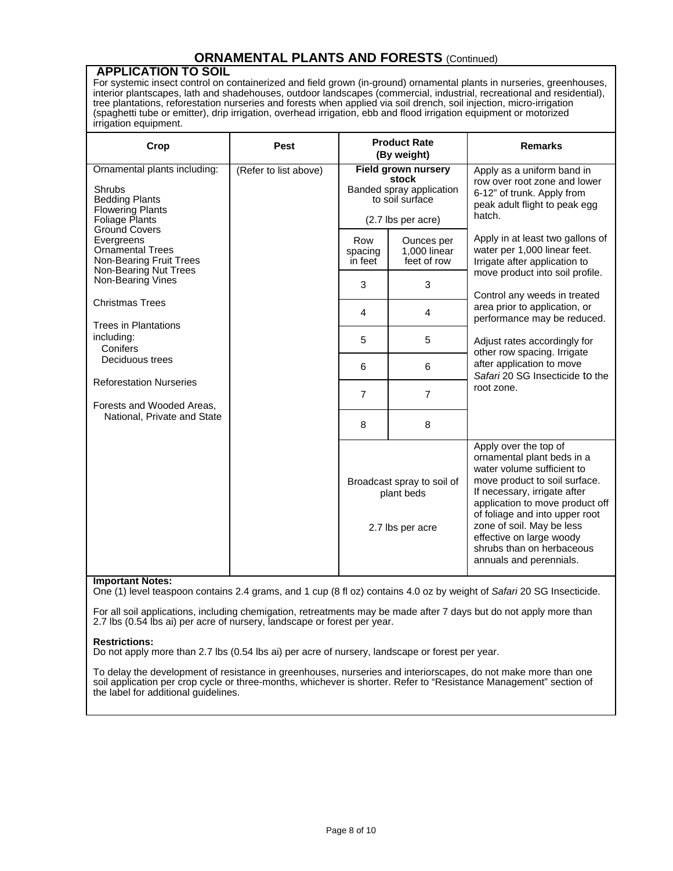#### **APPLICATION TO SOIL**

For systemic insect control on containerized and field grown (in-ground) ornamental plants in nurseries, greenhouses, interior plantscapes, lath and shadehouses, outdoor landscapes (commercial, industrial, recreational and residential), tree plantations, reforestation nurseries and forests when applied via soil drench, soil injection, micro-irrigation (spaghetti tube or emitter), drip irrigation, overhead irrigation, ebb and flood irrigation equipment or motorized irrigation equipment.

| Crop                                                                                                                                                                   | Pest                  | <b>Product Rate</b><br>(By weight)                           |                                                                                                   | <b>Remarks</b>                                                                                                                                                                                                                                                                                                                           |
|------------------------------------------------------------------------------------------------------------------------------------------------------------------------|-----------------------|--------------------------------------------------------------|---------------------------------------------------------------------------------------------------|------------------------------------------------------------------------------------------------------------------------------------------------------------------------------------------------------------------------------------------------------------------------------------------------------------------------------------------|
| Ornamental plants including:<br>Shrubs<br><b>Bedding Plants</b><br><b>Flowering Plants</b><br>Foliage Plants                                                           | (Refer to list above) |                                                              | Field grown nursery<br>stock<br>Banded spray application<br>to soil surface<br>(2.7 lbs per acre) | Apply as a uniform band in<br>row over root zone and lower<br>6-12" of trunk. Apply from<br>peak adult flight to peak egg<br>hatch.                                                                                                                                                                                                      |
| <b>Ground Covers</b><br>Evergreens<br><b>Ornamental Trees</b><br>Non-Bearing Fruit Trees<br>Non-Bearing Nut Trees                                                      |                       | Row<br>spacing<br>in feet                                    | Ounces per<br>1,000 linear<br>feet of row                                                         | Apply in at least two gallons of<br>water per 1,000 linear feet.<br>Irrigate after application to                                                                                                                                                                                                                                        |
| Non-Bearing Vines                                                                                                                                                      |                       | 3                                                            | 3                                                                                                 | move product into soil profile.<br>Control any weeds in treated<br>area prior to application, or<br>performance may be reduced.<br>Adjust rates accordingly for<br>other row spacing. Irrigate<br>after application to move<br>Safari 20 SG Insecticide to the<br>root zone.                                                             |
| <b>Christmas Trees</b>                                                                                                                                                 |                       | 4                                                            | 4                                                                                                 |                                                                                                                                                                                                                                                                                                                                          |
| <b>Trees in Plantations</b><br>including:<br>Conifers<br>Deciduous trees<br><b>Reforestation Nurseries</b><br>Forests and Wooded Areas,<br>National, Private and State |                       | 5                                                            | 5                                                                                                 |                                                                                                                                                                                                                                                                                                                                          |
|                                                                                                                                                                        |                       | 6                                                            | 6                                                                                                 |                                                                                                                                                                                                                                                                                                                                          |
|                                                                                                                                                                        |                       | $\overline{7}$                                               | $\overline{7}$                                                                                    |                                                                                                                                                                                                                                                                                                                                          |
|                                                                                                                                                                        |                       | 8                                                            | 8                                                                                                 |                                                                                                                                                                                                                                                                                                                                          |
|                                                                                                                                                                        |                       | Broadcast spray to soil of<br>plant beds<br>2.7 lbs per acre |                                                                                                   | Apply over the top of<br>ornamental plant beds in a<br>water volume sufficient to<br>move product to soil surface.<br>If necessary, irrigate after<br>application to move product off<br>of foliage and into upper root<br>zone of soil. May be less<br>effective on large woody<br>shrubs than on herbaceous<br>annuals and perennials. |

#### **Important Notes:**

One (1) level teaspoon contains 2.4 grams, and 1 cup (8 fl oz) contains 4.0 oz by weight of *Safari* 20 SG Insecticide.

For all soil applications, including chemigation, retreatments may be made after 7 days but do not apply more than 2.7 lbs (0.54 lbs ai) per acre of nursery, landscape or forest per year.

#### **Restrictions:**

Do not apply more than 2.7 lbs (0.54 lbs ai) per acre of nursery, landscape or forest per year.

To delay the development of resistance in greenhouses, nurseries and interiorscapes, do not make more than one soil application per crop cycle or three-months, whichever is shorter. Refer to "Resistance Management" section of the label for additional guidelines.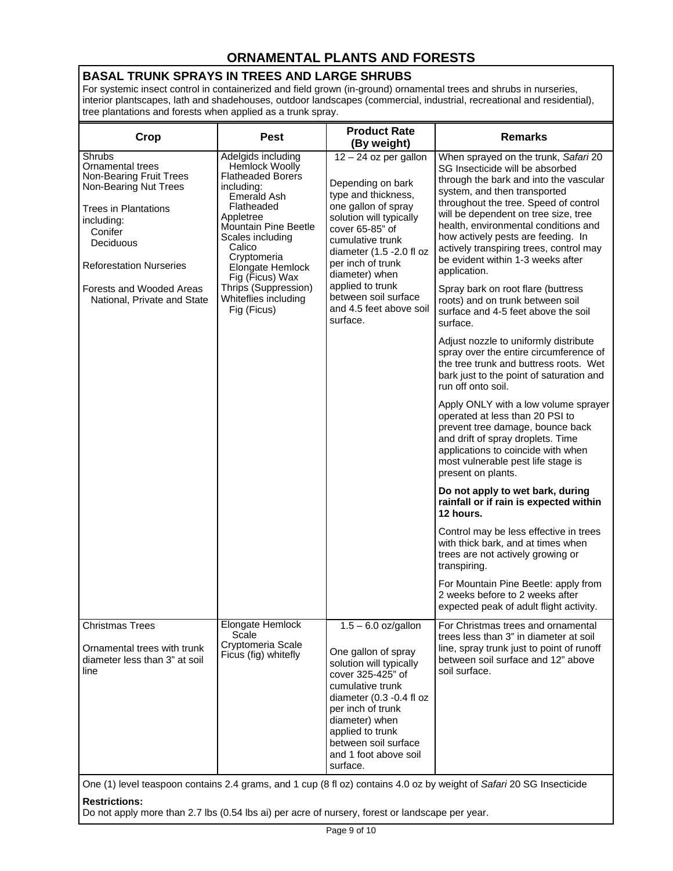# **ORNAMENTAL PLANTS AND FORESTS**

## **BASAL TRUNK SPRAYS IN TREES AND LARGE SHRUBS**

For systemic insect control in containerized and field grown (in-ground) ornamental trees and shrubs in nurseries, interior plantscapes, lath and shadehouses, outdoor landscapes (commercial, industrial, recreational and residential), tree plantations and forests when applied as a trunk spray.

| Crop                                                                                                                                                                                                                                             | <b>Pest</b>                                                                                                                                                                                                                                                                                                       | <b>Product Rate</b><br>(By weight)                                                                                                                                                                                                                                                                                 | <b>Remarks</b>                                                                                                                                                                                                                                                                                                                                                                                                                                                                                                                                                                                                                                                                                                                                                                                                                                                                                                                                                                                                                                                                                                                                                                                                                                                                                                                                           |  |
|--------------------------------------------------------------------------------------------------------------------------------------------------------------------------------------------------------------------------------------------------|-------------------------------------------------------------------------------------------------------------------------------------------------------------------------------------------------------------------------------------------------------------------------------------------------------------------|--------------------------------------------------------------------------------------------------------------------------------------------------------------------------------------------------------------------------------------------------------------------------------------------------------------------|----------------------------------------------------------------------------------------------------------------------------------------------------------------------------------------------------------------------------------------------------------------------------------------------------------------------------------------------------------------------------------------------------------------------------------------------------------------------------------------------------------------------------------------------------------------------------------------------------------------------------------------------------------------------------------------------------------------------------------------------------------------------------------------------------------------------------------------------------------------------------------------------------------------------------------------------------------------------------------------------------------------------------------------------------------------------------------------------------------------------------------------------------------------------------------------------------------------------------------------------------------------------------------------------------------------------------------------------------------|--|
| Shrubs<br>Ornamental trees<br>Non-Bearing Fruit Trees<br>Non-Bearing Nut Trees<br><b>Trees in Plantations</b><br>including:<br>Conifer<br>Deciduous<br><b>Reforestation Nurseries</b><br>Forests and Wooded Areas<br>National, Private and State | Adelgids including<br><b>Hemlock Woolly</b><br><b>Flatheaded Borers</b><br>including:<br>Emerald Ash<br>Flatheaded<br>Appletree<br><b>Mountain Pine Beetle</b><br>Scales including<br>Calico<br>Cryptomeria<br>Elongate Hemlock<br>Fig (Ficus) Wax<br>Thrips (Suppression)<br>Whiteflies including<br>Fig (Ficus) | $12 - 24$ oz per gallon<br>Depending on bark<br>type and thickness,<br>one gallon of spray<br>solution will typically<br>cover 65-85" of<br>cumulative trunk<br>diameter (1.5 -2.0 fl oz<br>per inch of trunk<br>diameter) when<br>applied to trunk<br>between soil surface<br>and 4.5 feet above soil<br>surface. | When sprayed on the trunk, Safari 20<br>SG Insecticide will be absorbed<br>through the bark and into the vascular<br>system, and then transported<br>throughout the tree. Speed of control<br>will be dependent on tree size, tree<br>health, environmental conditions and<br>how actively pests are feeding. In<br>actively transpiring trees, control may<br>be evident within 1-3 weeks after<br>application.<br>Spray bark on root flare (buttress<br>roots) and on trunk between soil<br>surface and 4-5 feet above the soil<br>surface.<br>Adjust nozzle to uniformly distribute<br>spray over the entire circumference of<br>the tree trunk and buttress roots. Wet<br>bark just to the point of saturation and<br>run off onto soil.<br>Apply ONLY with a low volume sprayer<br>operated at less than 20 PSI to<br>prevent tree damage, bounce back<br>and drift of spray droplets. Time<br>applications to coincide with when<br>most vulnerable pest life stage is<br>present on plants.<br>Do not apply to wet bark, during<br>rainfall or if rain is expected within<br>12 hours.<br>Control may be less effective in trees<br>with thick bark, and at times when<br>trees are not actively growing or<br>transpiring.<br>For Mountain Pine Beetle: apply from<br>2 weeks before to 2 weeks after<br>expected peak of adult flight activity. |  |
| <b>Christmas Trees</b><br>Ornamental trees with trunk<br>diameter less than 3" at soil<br>line                                                                                                                                                   | Elongate Hemlock<br>Scale<br>Cryptomeria Scale<br>Ficus (fig) whitefly                                                                                                                                                                                                                                            | $1.5 - 6.0$ oz/gallon<br>One gallon of spray<br>solution will typically<br>cover 325-425" of<br>cumulative trunk<br>diameter (0.3 -0.4 fl oz<br>per inch of trunk<br>diameter) when<br>applied to trunk<br>between soil surface<br>and 1 foot above soil<br>surface.                                               | For Christmas trees and ornamental<br>trees less than 3" in diameter at soil<br>line, spray trunk just to point of runoff<br>between soil surface and 12" above<br>soil surface.                                                                                                                                                                                                                                                                                                                                                                                                                                                                                                                                                                                                                                                                                                                                                                                                                                                                                                                                                                                                                                                                                                                                                                         |  |
| One (1) level teaspoon contains 2.4 grams, and 1 cup (8 fl oz) contains 4.0 oz by weight of Safari 20 SG Insecticide<br><b>Restrictions:</b>                                                                                                     |                                                                                                                                                                                                                                                                                                                   |                                                                                                                                                                                                                                                                                                                    |                                                                                                                                                                                                                                                                                                                                                                                                                                                                                                                                                                                                                                                                                                                                                                                                                                                                                                                                                                                                                                                                                                                                                                                                                                                                                                                                                          |  |

Do not apply more than 2.7 lbs (0.54 lbs ai) per acre of nursery, forest or landscape per year.